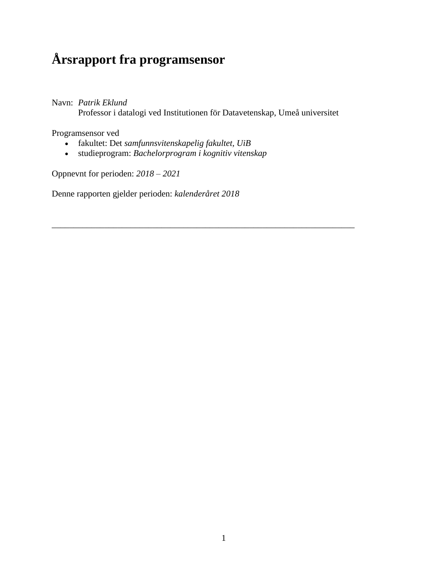# **Årsrapport fra programsensor**

Navn: *Patrik Eklund*

Professor i datalogi ved Institutionen för Datavetenskap, Umeå universitet

\_\_\_\_\_\_\_\_\_\_\_\_\_\_\_\_\_\_\_\_\_\_\_\_\_\_\_\_\_\_\_\_\_\_\_\_\_\_\_\_\_\_\_\_\_\_\_\_\_\_\_\_\_\_\_\_\_\_\_\_\_\_\_\_\_\_\_\_\_

Programsensor ved

- fakultet: Det *samfunnsvitenskapelig fakultet, UiB*
- studieprogram: *Bachelorprogram i kognitiv vitenskap*

Oppnevnt for perioden: *2018 – 2021*

Denne rapporten gjelder perioden: *kalenderåret 2018*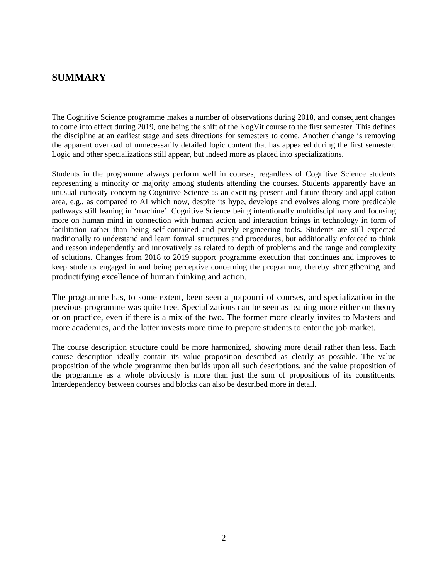# **SUMMARY**

The Cognitive Science programme makes a number of observations during 2018, and consequent changes to come into effect during 2019, one being the shift of the KogVit course to the first semester. This defines the discipline at an earliest stage and sets directions for semesters to come. Another change is removing the apparent overload of unnecessarily detailed logic content that has appeared during the first semester. Logic and other specializations still appear, but indeed more as placed into specializations.

Students in the programme always perform well in courses, regardless of Cognitive Science students representing a minority or majority among students attending the courses. Students apparently have an unusual curiosity concerning Cognitive Science as an exciting present and future theory and application area, e.g., as compared to AI which now, despite its hype, develops and evolves along more predicable pathways still leaning in 'machine'. Cognitive Science being intentionally multidisciplinary and focusing more on human mind in connection with human action and interaction brings in technology in form of facilitation rather than being self-contained and purely engineering tools. Students are still expected traditionally to understand and learn formal structures and procedures, but additionally enforced to think and reason independently and innovatively as related to depth of problems and the range and complexity of solutions. Changes from 2018 to 2019 support programme execution that continues and improves to keep students engaged in and being perceptive concerning the programme, thereby strengthening and productifying excellence of human thinking and action.

The programme has, to some extent, been seen a potpourri of courses, and specialization in the previous programme was quite free. Specializations can be seen as leaning more either on theory or on practice, even if there is a mix of the two. The former more clearly invites to Masters and more academics, and the latter invests more time to prepare students to enter the job market.

The course description structure could be more harmonized, showing more detail rather than less. Each course description ideally contain its value proposition described as clearly as possible. The value proposition of the whole programme then builds upon all such descriptions, and the value proposition of the programme as a whole obviously is more than just the sum of propositions of its constituents. Interdependency between courses and blocks can also be described more in detail.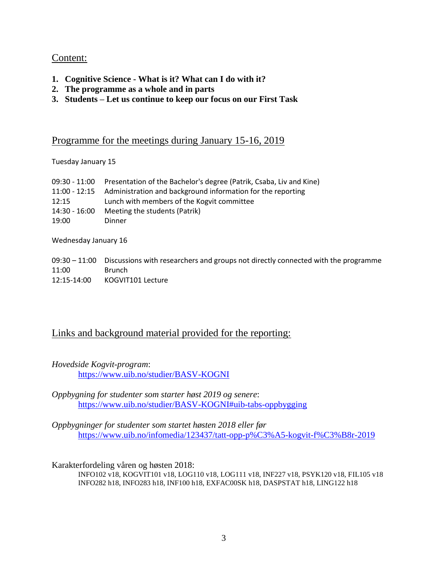# Content:

- **1. Cognitive Science - What is it? What can I do with it?**
- **2. The programme as a whole and in parts**
- **3. Students – Let us continue to keep our focus on our First Task**

# Programme for the meetings during January 15-16, 2019

Tuesday January 15

|               | 09:30 - 11:00 Presentation of the Bachelor's degree (Patrik, Csaba, Liv and Kine) |
|---------------|-----------------------------------------------------------------------------------|
|               | 11:00 - 12:15 Administration and background information for the reporting         |
| 12:15         | Lunch with members of the Kogvit committee                                        |
| 14:30 - 16:00 | Meeting the students (Patrik)                                                     |
| 19:00         | Dinner                                                                            |

Wednesday January 16

|             | $09:30 - 11:00$ Discussions with researchers and groups not directly connected with the programme |
|-------------|---------------------------------------------------------------------------------------------------|
| 11:00       | Brunch                                                                                            |
| 12:15-14:00 | KOGVIT101 Lecture                                                                                 |

# Links and background material provided for the reporting:

*Hovedside Kogvit-program*:

<https://www.uib.no/studier/BASV-KOGNI>

*Oppbygning for studenter som starter høst 2019 og senere*: <https://www.uib.no/studier/BASV-KOGNI#uib-tabs-oppbygging>

*Oppbygninger for studenter som startet høsten 2018 eller før* <https://www.uib.no/infomedia/123437/tatt-opp-p%C3%A5-kogvit-f%C3%B8r-2019>

Karakterfordeling våren og høsten 2018:

INFO102 v18, KOGVIT101 v18, LOG110 v18, LOG111 v18, INF227 v18, PSYK120 v18, FIL105 v18 INFO282 h18, INFO283 h18, INF100 h18, EXFAC00SK h18, DASPSTAT h18, LING122 h18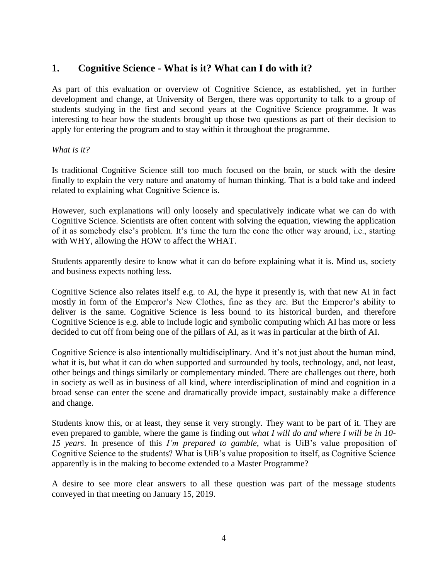# **1. Cognitive Science - What is it? What can I do with it?**

As part of this evaluation or overview of Cognitive Science, as established, yet in further development and change, at University of Bergen, there was opportunity to talk to a group of students studying in the first and second years at the Cognitive Science programme. It was interesting to hear how the students brought up those two questions as part of their decision to apply for entering the program and to stay within it throughout the programme.

#### *What is it?*

Is traditional Cognitive Science still too much focused on the brain, or stuck with the desire finally to explain the very nature and anatomy of human thinking. That is a bold take and indeed related to explaining what Cognitive Science is.

However, such explanations will only loosely and speculatively indicate what we can do with Cognitive Science. Scientists are often content with solving the equation, viewing the application of it as somebody else's problem. It's time the turn the cone the other way around, i.e., starting with WHY, allowing the HOW to affect the WHAT.

Students apparently desire to know what it can do before explaining what it is. Mind us, society and business expects nothing less.

Cognitive Science also relates itself e.g. to AI, the hype it presently is, with that new AI in fact mostly in form of the Emperor's New Clothes, fine as they are. But the Emperor's ability to deliver is the same. Cognitive Science is less bound to its historical burden, and therefore Cognitive Science is e.g. able to include logic and symbolic computing which AI has more or less decided to cut off from being one of the pillars of AI, as it was in particular at the birth of AI.

Cognitive Science is also intentionally multidisciplinary. And it's not just about the human mind, what it is, but what it can do when supported and surrounded by tools, technology, and, not least, other beings and things similarly or complementary minded. There are challenges out there, both in society as well as in business of all kind, where interdisciplination of mind and cognition in a broad sense can enter the scene and dramatically provide impact, sustainably make a difference and change.

Students know this, or at least, they sense it very strongly. They want to be part of it. They are even prepared to gamble, where the game is finding out *what I will do and where I will be in 10- 15 years*. In presence of this *I'm prepared to gamble*, what is UiB's value proposition of Cognitive Science to the students? What is UiB's value proposition to itself, as Cognitive Science apparently is in the making to become extended to a Master Programme?

A desire to see more clear answers to all these question was part of the message students conveyed in that meeting on January 15, 2019.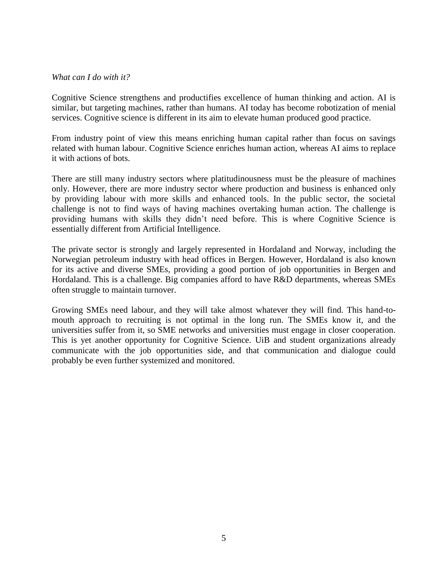#### *What can I do with it?*

Cognitive Science strengthens and productifies excellence of human thinking and action. AI is similar, but targeting machines, rather than humans. AI today has become robotization of menial services. Cognitive science is different in its aim to elevate human produced good practice.

From industry point of view this means enriching human capital rather than focus on savings related with human labour. Cognitive Science enriches human action, whereas AI aims to replace it with actions of bots.

There are still many industry sectors where platitudinousness must be the pleasure of machines only. However, there are more industry sector where production and business is enhanced only by providing labour with more skills and enhanced tools. In the public sector, the societal challenge is not to find ways of having machines overtaking human action. The challenge is providing humans with skills they didn't need before. This is where Cognitive Science is essentially different from Artificial Intelligence.

The private sector is strongly and largely represented in Hordaland and Norway, including the Norwegian petroleum industry with head offices in Bergen. However, Hordaland is also known for its active and diverse SMEs, providing a good portion of job opportunities in Bergen and Hordaland. This is a challenge. Big companies afford to have R&D departments, whereas SMEs often struggle to maintain turnover.

Growing SMEs need labour, and they will take almost whatever they will find. This hand-tomouth approach to recruiting is not optimal in the long run. The SMEs know it, and the universities suffer from it, so SME networks and universities must engage in closer cooperation. This is yet another opportunity for Cognitive Science. UiB and student organizations already communicate with the job opportunities side, and that communication and dialogue could probably be even further systemized and monitored.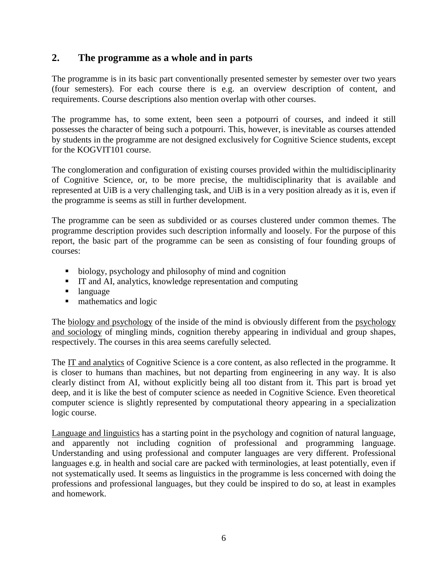# **2. The programme as a whole and in parts**

The programme is in its basic part conventionally presented semester by semester over two years (four semesters). For each course there is e.g. an overview description of content, and requirements. Course descriptions also mention overlap with other courses.

The programme has, to some extent, been seen a potpourri of courses, and indeed it still possesses the character of being such a potpourri. This, however, is inevitable as courses attended by students in the programme are not designed exclusively for Cognitive Science students, except for the KOGVIT101 course.

The conglomeration and configuration of existing courses provided within the multidisciplinarity of Cognitive Science, or, to be more precise, the multidisciplinarity that is available and represented at UiB is a very challenging task, and UiB is in a very position already as it is, even if the programme is seems as still in further development.

The programme can be seen as subdivided or as courses clustered under common themes. The programme description provides such description informally and loosely. For the purpose of this report, the basic part of the programme can be seen as consisting of four founding groups of courses:

- biology, psychology and philosophy of mind and cognition
- IT and AI, analytics, knowledge representation and computing
- language
- mathematics and logic

The biology and psychology of the inside of the mind is obviously different from the psychology and sociology of mingling minds, cognition thereby appearing in individual and group shapes, respectively. The courses in this area seems carefully selected.

The IT and analytics of Cognitive Science is a core content, as also reflected in the programme. It is closer to humans than machines, but not departing from engineering in any way. It is also clearly distinct from AI, without explicitly being all too distant from it. This part is broad yet deep, and it is like the best of computer science as needed in Cognitive Science. Even theoretical computer science is slightly represented by computational theory appearing in a specialization logic course.

Language and linguistics has a starting point in the psychology and cognition of natural language, and apparently not including cognition of professional and programming language. Understanding and using professional and computer languages are very different. Professional languages e.g. in health and social care are packed with terminologies, at least potentially, even if not systematically used. It seems as linguistics in the programme is less concerned with doing the professions and professional languages, but they could be inspired to do so, at least in examples and homework.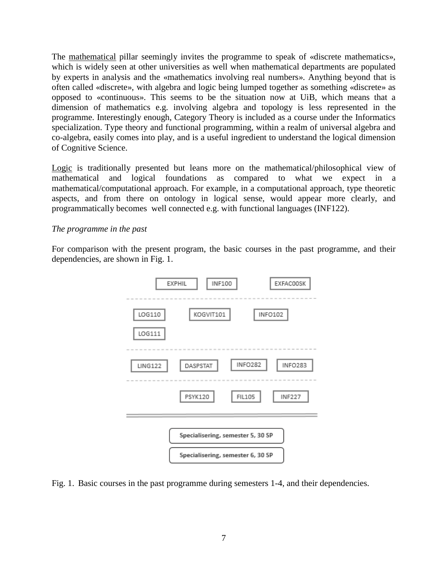The mathematical pillar seemingly invites the programme to speak of «discrete mathematics», which is widely seen at other universities as well when mathematical departments are populated by experts in analysis and the «mathematics involving real numbers». Anything beyond that is often called «discrete», with algebra and logic being lumped together as something «discrete» as opposed to «continuous». This seems to be the situation now at UiB, which means that a dimension of mathematics e.g. involving algebra and topology is less represented in the programme. Interestingly enough, Category Theory is included as a course under the Informatics specialization. Type theory and functional programming, within a realm of universal algebra and co-algebra, easily comes into play, and is a useful ingredient to understand the logical dimension of Cognitive Science.

Logic is traditionally presented but leans more on the mathematical/philosophical view of mathematical and logical foundations as compared to what we expect in a mathematical/computational approach. For example, in a computational approach, type theoretic aspects, and from there on ontology in logical sense, would appear more clearly, and programmatically becomes well connected e.g. with functional languages (INF122).

#### *The programme in the past*

For comparison with the present program, the basic courses in the past programme, and their dependencies, are shown in Fig. 1.



Fig. 1. Basic courses in the past programme during semesters 1-4, and their dependencies.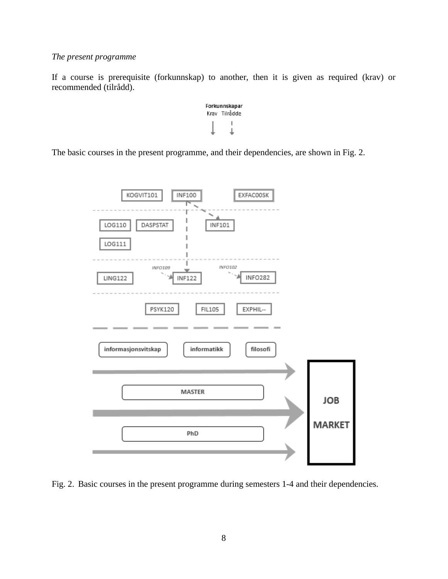#### *The present programme*

If a course is prerequisite (forkunnskap) to another, then it is given as required (krav) or recommended (tilrådd).

Forkunnskapar Krav Tilrådde  $\mathbf{I}$ ₹

The basic courses in the present programme, and their dependencies, are shown in Fig. 2.



Fig. 2. Basic courses in the present programme during semesters 1-4 and their dependencies.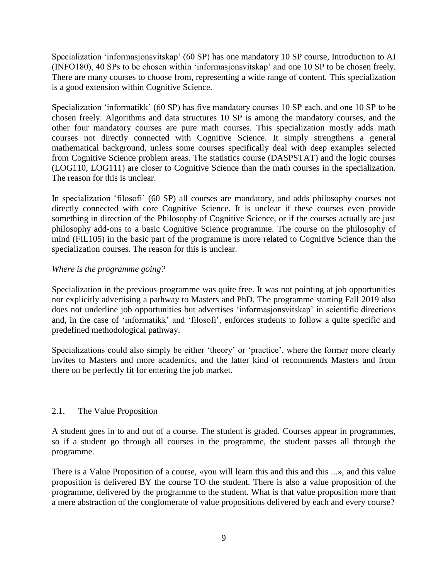Specialization 'informasjonsvitskap' (60 SP) has one mandatory 10 SP course, Introduction to AI (INFO180), 40 SPs to be chosen within 'informasjonsvitskap' and one 10 SP to be chosen freely. There are many courses to choose from, representing a wide range of content. This specialization is a good extension within Cognitive Science.

Specialization 'informatikk' (60 SP) has five mandatory courses 10 SP each, and one 10 SP to be chosen freely. Algorithms and data structures 10 SP is among the mandatory courses, and the other four mandatory courses are pure math courses. This specialization mostly adds math courses not directly connected with Cognitive Science. It simply strengthens a general mathematical background, unless some courses specifically deal with deep examples selected from Cognitive Science problem areas. The statistics course (DASPSTAT) and the logic courses (LOG110, LOG111) are closer to Cognitive Science than the math courses in the specialization. The reason for this is unclear.

In specialization 'filosofi' (60 SP) all courses are mandatory, and adds philosophy courses not directly connected with core Cognitive Science. It is unclear if these courses even provide something in direction of the Philosophy of Cognitive Science, or if the courses actually are just philosophy add-ons to a basic Cognitive Science programme. The course on the philosophy of mind (FIL105) in the basic part of the programme is more related to Cognitive Science than the specialization courses. The reason for this is unclear.

## *Where is the programme going?*

Specialization in the previous programme was quite free. It was not pointing at job opportunities nor explicitly advertising a pathway to Masters and PhD. The programme starting Fall 2019 also does not underline job opportunities but advertises 'informasjonsvitskap' in scientific directions and, in the case of 'informatikk' and 'filosofi', enforces students to follow a quite specific and predefined methodological pathway.

Specializations could also simply be either 'theory' or 'practice', where the former more clearly invites to Masters and more academics, and the latter kind of recommends Masters and from there on be perfectly fit for entering the job market.

## 2.1. The Value Proposition

A student goes in to and out of a course. The student is graded. Courses appear in programmes, so if a student go through all courses in the programme, the student passes all through the programme.

There is a Value Proposition of a course, «you will learn this and this and this ...», and this value proposition is delivered BY the course TO the student. There is also a value proposition of the programme, delivered by the programme to the student. What is that value proposition more than a mere abstraction of the conglomerate of value propositions delivered by each and every course?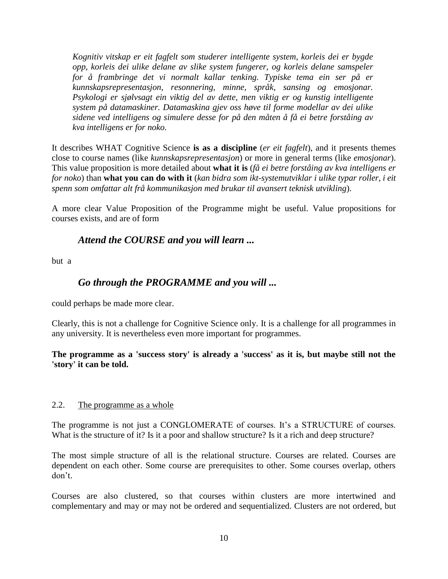*Kognitiv vitskap er eit fagfelt som studerer intelligente system, korleis dei er bygde opp, korleis dei ulike delane av slike system fungerer, og korleis delane samspeler for å frambringe det vi normalt kallar tenking. Typiske tema ein ser på er kunnskapsrepresentasjon, resonnering, minne, språk, sansing og emosjonar. Psykologi er sjølvsagt ein viktig del av dette, men viktig er og kunstig intelligente system på datamaskiner. Datamaskina gjev oss høve til forme modellar av dei ulike sidene ved intelligens og simulere desse for på den måten å få ei betre forståing av kva intelligens er for noko.*

It describes WHAT Cognitive Science **is as a discipline** (*er eit fagfelt*), and it presents themes close to course names (like *kunnskapsrepresentasjon*) or more in general terms (like *emosjonar*). This value proposition is more detailed about **what it is** (*få ei betre forståing av kva intelligens er for noko*) than **what you can do with it** (*kan bidra som ikt-systemutviklar i ulike typar roller, i eit spenn som omfattar alt frå kommunikasjon med brukar til avansert teknisk utvikling*).

A more clear Value Proposition of the Programme might be useful. Value propositions for courses exists, and are of form

# *Attend the COURSE and you will learn ...*

but a

# *Go through the PROGRAMME and you will ...*

could perhaps be made more clear.

Clearly, this is not a challenge for Cognitive Science only. It is a challenge for all programmes in any university. It is nevertheless even more important for programmes.

## **The programme as a 'success story' is already a 'success' as it is, but maybe still not the 'story' it can be told.**

#### 2.2. The programme as a whole

The programme is not just a CONGLOMERATE of courses. It's a STRUCTURE of courses. What is the structure of it? Is it a poor and shallow structure? Is it a rich and deep structure?

The most simple structure of all is the relational structure. Courses are related. Courses are dependent on each other. Some course are prerequisites to other. Some courses overlap, others don't.

Courses are also clustered, so that courses within clusters are more intertwined and complementary and may or may not be ordered and sequentialized. Clusters are not ordered, but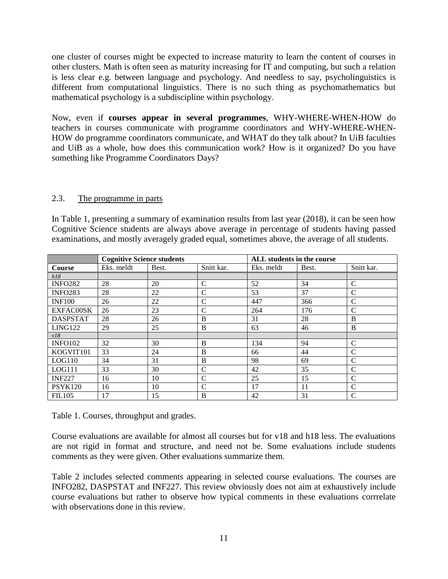one cluster of courses might be expected to increase maturity to learn the content of courses in other clusters. Math is often seen as maturity increasing for IT and computing, but such a relation is less clear e.g. between language and psychology. And needless to say, psycholinguistics is different from computational linguistics. There is no such thing as psychomathematics but mathematical psychology is a subdiscipline within psychology.

Now, even if **courses appear in several programmes**, WHY-WHERE-WHEN-HOW do teachers in courses communicate with programme coordinators and WHY-WHERE-WHEN-HOW do programme coordinators communicate, and WHAT do they talk about? In UiB faculties and UiB as a whole, how does this communication work? How is it organized? Do you have something like Programme Coordinators Days?

## 2.3. The programme in parts

In Table 1, presenting a summary of examination results from last year (2018), it can be seen how Cognitive Science students are always above average in percentage of students having passed examinations, and mostly averagely graded equal, sometimes above, the average of all students.

|                 | <b>Cognitive Science students</b> |       |               | ALL students in the course |       |               |
|-----------------|-----------------------------------|-------|---------------|----------------------------|-------|---------------|
| <b>Course</b>   | Eks. meldt                        | Best. | Snitt kar.    | Eks. meldt                 | Best. | Snitt kar.    |
| h18             |                                   |       |               |                            |       |               |
| <b>INFO282</b>  | 28                                | 20    | C             | 52                         | 34    | $\mathcal{C}$ |
| <b>INFO283</b>  | 28                                | 22    | C             | 53                         | 37    | $\mathcal{C}$ |
| <b>INF100</b>   | 26                                | 22    | $\mathsf{C}$  | 447                        | 366   | C             |
| EXFAC00SK       | 26                                | 23    | C             | 264                        | 176   | $\mathcal{C}$ |
| <b>DASPSTAT</b> | 28                                | 26    | B             | 31                         | 28    | B             |
| LING122         | 29                                | 25    | B             | 63                         | 46    | B             |
| v18             |                                   |       |               |                            |       |               |
| <b>INFO102</b>  | 32                                | 30    | B             | 134                        | 94    | $\mathcal{C}$ |
| KOGVIT101       | 33                                | 24    | B             | 66                         | 44    | C             |
| LOG110          | 34                                | 31    | B             | 98                         | 69    | $\mathcal{C}$ |
| LOG111          | 33                                | 30    | C             | 42                         | 35    | C             |
| <b>INF227</b>   | 16                                | 10    | $\mathcal{C}$ | 25                         | 15    | $\mathcal{C}$ |
| <b>PSYK120</b>  | 16                                | 10    | $\mathcal{C}$ | 17                         | 11    | C             |
| <b>FIL105</b>   | 17                                | 15    | B             | 42                         | 31    | $\mathbf C$   |

Table 1. Courses, throughput and grades.

Course evaluations are available for almost all courses but for v18 and h18 less. The evaluations are not rigid in format and structure, and need not be. Some evaluations include students comments as they were given. Other evaluations summarize them.

Table 2 includes selected comments appearing in selected course evaluations. The courses are INFO282, DASPSTAT and INF227. This review obviously does not aim at exhaustively include course evaluations but rather to observe how typical comments in these evaluations corrrelate with observations done in this review.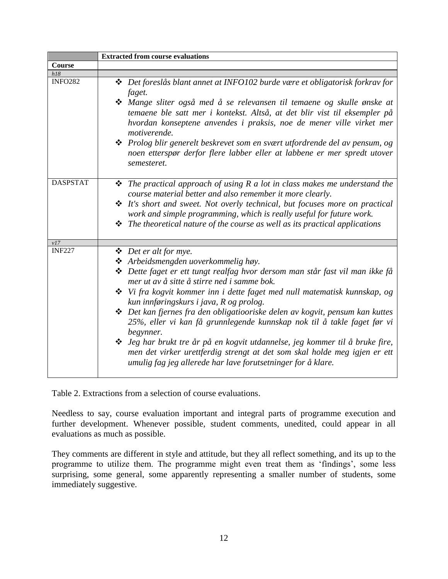|                 | <b>Extracted from course evaluations</b>                                                                                                                                                                                                                                                                                                                                                                                                                                                                                                                                                                                                                                                                                                    |  |  |  |
|-----------------|---------------------------------------------------------------------------------------------------------------------------------------------------------------------------------------------------------------------------------------------------------------------------------------------------------------------------------------------------------------------------------------------------------------------------------------------------------------------------------------------------------------------------------------------------------------------------------------------------------------------------------------------------------------------------------------------------------------------------------------------|--|--|--|
| Course          |                                                                                                                                                                                                                                                                                                                                                                                                                                                                                                                                                                                                                                                                                                                                             |  |  |  |
| $h18$           |                                                                                                                                                                                                                                                                                                                                                                                                                                                                                                                                                                                                                                                                                                                                             |  |  |  |
| <b>INFO282</b>  | $\triangleq$ Det foreslås blant annet at INFO102 burde være et obligatorisk forkrav for<br>faget.<br>❖ Mange sliter også med å se relevansen til temaene og skulle ønske at<br>temaene ble satt mer i kontekst. Altså, at det blir vist til eksempler på<br>hvordan konseptene anvendes i praksis, noe de mener ville virket mer<br>motiverende.<br>$\mathbf{\hat{*}}$ Prolog blir generelt beskrevet som en svært utfordrende del av pensum, og<br>noen etterspør derfor flere labber eller at labbene er mer spredt utover<br>semesteret.                                                                                                                                                                                                 |  |  |  |
| <b>DASPSTAT</b> | $\hat{\mathbf{v}}$ The practical approach of using R a lot in class makes me understand the<br>course material better and also remember it more clearly.<br>$\triangleleft$ It's short and sweet. Not overly technical, but focuses more on practical<br>work and simple programming, which is really useful for future work.<br>$\triangle$ The theoretical nature of the course as well as its practical applications                                                                                                                                                                                                                                                                                                                     |  |  |  |
| v17             |                                                                                                                                                                                                                                                                                                                                                                                                                                                                                                                                                                                                                                                                                                                                             |  |  |  |
| <b>INF227</b>   | ❖ Det er alt for mye.<br>❖ Arbeidsmengden uoverkommelig høy.<br>❖ Dette faget er ett tungt realfag hvor dersom man står fast vil man ikke få<br>mer ut av å sitte å stirre ned i samme bok.<br>$\cdot \cdot$ Vi fra kogvit kommer inn i dette faget med null matematisk kunnskap, og<br>kun innføringskurs i java, R og prolog.<br><b>❖</b> Det kan fjernes fra den obligatiooriske delen av kogvit, pensum kan kuttes<br>25%, eller vi kan få grunnlegende kunnskap nok til å takle faget før vi<br>begynner.<br>❖ Jeg har brukt tre år på en kogvit utdannelse, jeg kommer til å bruke fire,<br>men det virker urettferdig strengt at det som skal holde meg igjen er ett<br>umulig fag jeg allerede har lave forutsetninger for å klare. |  |  |  |

Table 2. Extractions from a selection of course evaluations.

Needless to say, course evaluation important and integral parts of programme execution and further development. Whenever possible, student comments, unedited, could appear in all evaluations as much as possible.

They comments are different in style and attitude, but they all reflect something, and its up to the programme to utilize them. The programme might even treat them as 'findings', some less surprising, some general, some apparently representing a smaller number of students, some immediately suggestive.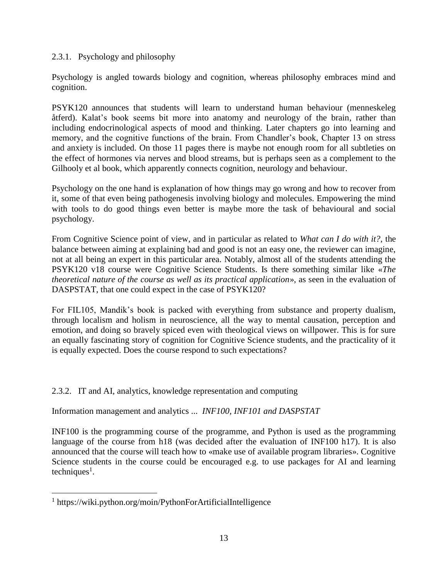## 2.3.1. Psychology and philosophy

Psychology is angled towards biology and cognition, whereas philosophy embraces mind and cognition.

PSYK120 announces that students will learn to understand human behaviour (menneskeleg åtferd). Kalat's book seems bit more into anatomy and neurology of the brain, rather than including endocrinological aspects of mood and thinking. Later chapters go into learning and memory, and the cognitive functions of the brain. From Chandler's book, Chapter 13 on stress and anxiety is included. On those 11 pages there is maybe not enough room for all subtleties on the effect of hormones via nerves and blood streams, but is perhaps seen as a complement to the Gilhooly et al book, which apparently connects cognition, neurology and behaviour.

Psychology on the one hand is explanation of how things may go wrong and how to recover from it, some of that even being pathogenesis involving biology and molecules. Empowering the mind with tools to do good things even better is maybe more the task of behavioural and social psychology.

From Cognitive Science point of view, and in particular as related to *What can I do with it?*, the balance between aiming at explaining bad and good is not an easy one, the reviewer can imagine, not at all being an expert in this particular area. Notably, almost all of the students attending the PSYK120 v18 course were Cognitive Science Students. Is there something similar like «*The theoretical nature of the course as well as its practical application*», as seen in the evaluation of DASPSTAT, that one could expect in the case of PSYK120?

For FIL105, Mandik's book is packed with everything from substance and property dualism, through localism and holism in neuroscience, all the way to mental causation, perception and emotion, and doing so bravely spiced even with theological views on willpower. This is for sure an equally fascinating story of cognition for Cognitive Science students, and the practicality of it is equally expected. Does the course respond to such expectations?

#### 2.3.2. IT and AI, analytics, knowledge representation and computing

Information management and analytics ... *INF100, INF101 and DASPSTAT*

INF100 is the programming course of the programme, and Python is used as the programming language of the course from h18 (was decided after the evaluation of INF100 h17). It is also announced that the course will teach how to «make use of available program libraries». Cognitive Science students in the course could be encouraged e.g. to use packages for AI and learning  $techniques<sup>1</sup>$ .

 $\overline{a}$ 

<sup>1</sup> https://wiki.python.org/moin/PythonForArtificialIntelligence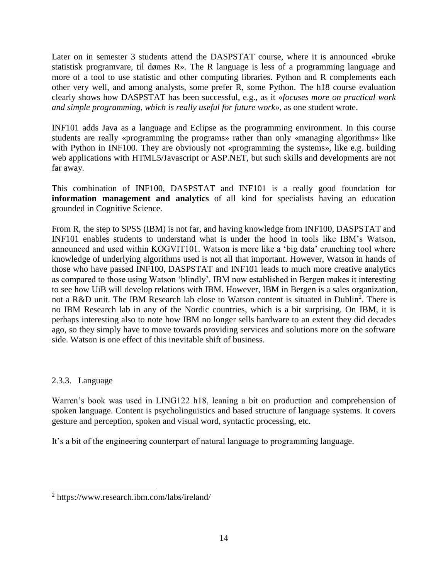Later on in semester 3 students attend the DASPSTAT course, where it is announced «bruke statistisk programvare, til dømes R». The R language is less of a programming language and more of a tool to use statistic and other computing libraries. Python and R complements each other very well, and among analysts, some prefer R, some Python. The h18 course evaluation clearly shows how DASPSTAT has been successful, e.g., as it «*focuses more on practical work and simple programming, which is really useful for future work*», as one student wrote.

INF101 adds Java as a language and Eclipse as the programming environment. In this course students are really «programming the programs» rather than only «managing algorithms» like with Python in INF100. They are obviously not «programming the systems», like e.g. building web applications with HTML5/Javascript or ASP.NET, but such skills and developments are not far away.

This combination of INF100, DASPSTAT and INF101 is a really good foundation for **information management and analytics** of all kind for specialists having an education grounded in Cognitive Science.

From R, the step to SPSS (IBM) is not far, and having knowledge from INF100, DASPSTAT and INF101 enables students to understand what is under the hood in tools like IBM's Watson, announced and used within KOGVIT101. Watson is more like a 'big data' crunching tool where knowledge of underlying algorithms used is not all that important. However, Watson in hands of those who have passed INF100, DASPSTAT and INF101 leads to much more creative analytics as compared to those using Watson 'blindly'. IBM now established in Bergen makes it interesting to see how UiB will develop relations with IBM. However, IBM in Bergen is a sales organization, not a R&D unit. The IBM Research lab close to Watson content is situated in Dublin<sup>2</sup>. There is no IBM Research lab in any of the Nordic countries, which is a bit surprising. On IBM, it is perhaps interesting also to note how IBM no longer sells hardware to an extent they did decades ago, so they simply have to move towards providing services and solutions more on the software side. Watson is one effect of this inevitable shift of business.

## 2.3.3. Language

 $\overline{a}$ 

Warren's book was used in LING122 h18, leaning a bit on production and comprehension of spoken language. Content is psycholinguistics and based structure of language systems. It covers gesture and perception, spoken and visual word, syntactic processing, etc.

It's a bit of the engineering counterpart of natural language to programming language.

<sup>&</sup>lt;sup>2</sup> https://www.research.ibm.com/labs/ireland/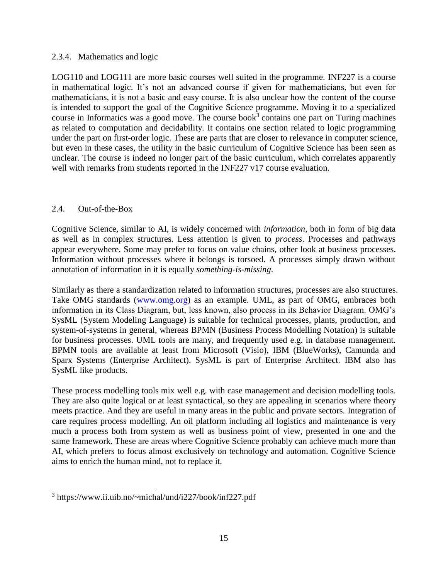#### 2.3.4. Mathematics and logic

LOG110 and LOG111 are more basic courses well suited in the programme. INF227 is a course in mathematical logic. It's not an advanced course if given for mathematicians, but even for mathematicians, it is not a basic and easy course. It is also unclear how the content of the course is intended to support the goal of the Cognitive Science programme. Moving it to a specialized course in Informatics was a good move. The course book<sup>3</sup> contains one part on Turing machines as related to computation and decidability. It contains one section related to logic programming under the part on first-order logic. These are parts that are closer to relevance in computer science, but even in these cases, the utility in the basic curriculum of Cognitive Science has been seen as unclear. The course is indeed no longer part of the basic curriculum, which correlates apparently well with remarks from students reported in the INF227 v17 course evaluation.

## 2.4. Out-of-the-Box

 $\overline{a}$ 

Cognitive Science, similar to AI, is widely concerned with *information*, both in form of big data as well as in complex structures. Less attention is given to *process*. Processes and pathways appear everywhere. Some may prefer to focus on value chains, other look at business processes. Information without processes where it belongs is torsoed. A processes simply drawn without annotation of information in it is equally *something-is-missing*.

Similarly as there a standardization related to information structures, processes are also structures. Take OMG standards [\(www.omg.org\)](http://www.omg.org/) as an example. UML, as part of OMG, embraces both information in its Class Diagram, but, less known, also process in its Behavior Diagram. OMG's SysML (System Modeling Language) is suitable for technical processes, plants, production, and system-of-systems in general, whereas BPMN (Business Process Modelling Notation) is suitable for business processes. UML tools are many, and frequently used e.g. in database management. BPMN tools are available at least from Microsoft (Visio), IBM (BlueWorks), Camunda and Sparx Systems (Enterprise Architect). SysML is part of Enterprise Architect. IBM also has SysML like products.

These process modelling tools mix well e.g. with case management and decision modelling tools. They are also quite logical or at least syntactical, so they are appealing in scenarios where theory meets practice. And they are useful in many areas in the public and private sectors. Integration of care requires process modelling. An oil platform including all logistics and maintenance is very much a process both from system as well as business point of view, presented in one and the same framework. These are areas where Cognitive Science probably can achieve much more than AI, which prefers to focus almost exclusively on technology and automation. Cognitive Science aims to enrich the human mind, not to replace it.

<sup>3</sup> https://www.ii.uib.no/~michal/und/i227/book/inf227.pdf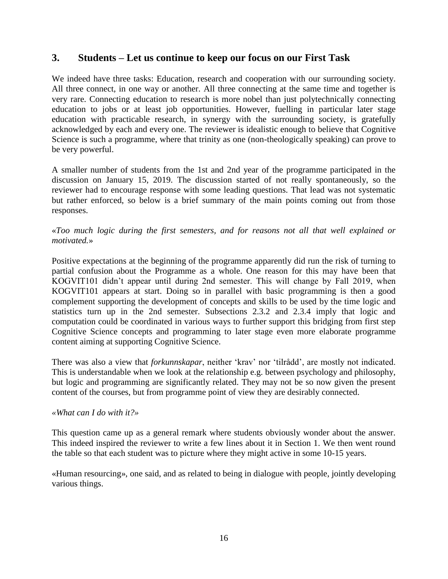# **3. Students – Let us continue to keep our focus on our First Task**

We indeed have three tasks: Education, research and cooperation with our surrounding society. All three connect, in one way or another. All three connecting at the same time and together is very rare. Connecting education to research is more nobel than just polytechnically connecting education to jobs or at least job opportunities. However, fuelling in particular later stage education with practicable research, in synergy with the surrounding society, is gratefully acknowledged by each and every one. The reviewer is idealistic enough to believe that Cognitive Science is such a programme, where that trinity as one (non-theologically speaking) can prove to be very powerful.

A smaller number of students from the 1st and 2nd year of the programme participated in the discussion on January 15, 2019. The discussion started of not really spontaneously, so the reviewer had to encourage response with some leading questions. That lead was not systematic but rather enforced, so below is a brief summary of the main points coming out from those responses.

## «*Too much logic during the first semesters, and for reasons not all that well explained or motivated.*»

Positive expectations at the beginning of the programme apparently did run the risk of turning to partial confusion about the Programme as a whole. One reason for this may have been that KOGVIT101 didn't appear until during 2nd semester. This will change by Fall 2019, when KOGVIT101 appears at start. Doing so in parallel with basic programming is then a good complement supporting the development of concepts and skills to be used by the time logic and statistics turn up in the 2nd semester. Subsections 2.3.2 and 2.3.4 imply that logic and computation could be coordinated in various ways to further support this bridging from first step Cognitive Science concepts and programming to later stage even more elaborate programme content aiming at supporting Cognitive Science.

There was also a view that *forkunnskapar*, neither 'krav' nor 'tilrådd', are mostly not indicated. This is understandable when we look at the relationship e.g. between psychology and philosophy, but logic and programming are significantly related. They may not be so now given the present content of the courses, but from programme point of view they are desirably connected.

#### *«What can I do with it?»*

This question came up as a general remark where students obviously wonder about the answer. This indeed inspired the reviewer to write a few lines about it in Section 1. We then went round the table so that each student was to picture where they might active in some 10-15 years.

«Human resourcing», one said, and as related to being in dialogue with people, jointly developing various things.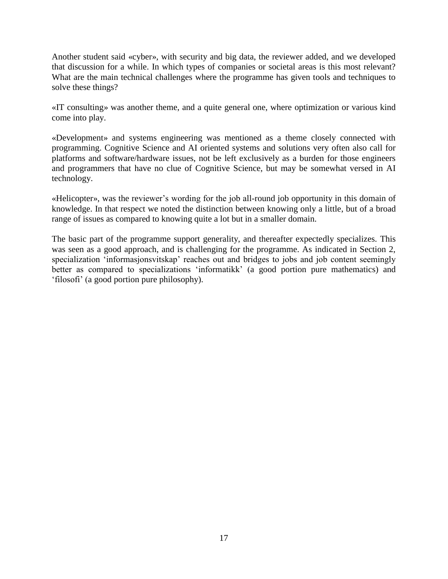Another student said «cyber», with security and big data, the reviewer added, and we developed that discussion for a while. In which types of companies or societal areas is this most relevant? What are the main technical challenges where the programme has given tools and techniques to solve these things?

«IT consulting» was another theme, and a quite general one, where optimization or various kind come into play.

«Development» and systems engineering was mentioned as a theme closely connected with programming. Cognitive Science and AI oriented systems and solutions very often also call for platforms and software/hardware issues, not be left exclusively as a burden for those engineers and programmers that have no clue of Cognitive Science, but may be somewhat versed in AI technology.

«Helicopter», was the reviewer's wording for the job all-round job opportunity in this domain of knowledge. In that respect we noted the distinction between knowing only a little, but of a broad range of issues as compared to knowing quite a lot but in a smaller domain.

The basic part of the programme support generality, and thereafter expectedly specializes. This was seen as a good approach, and is challenging for the programme. As indicated in Section 2, specialization 'informasjonsvitskap' reaches out and bridges to jobs and job content seemingly better as compared to specializations 'informatikk' (a good portion pure mathematics) and 'filosofi' (a good portion pure philosophy).